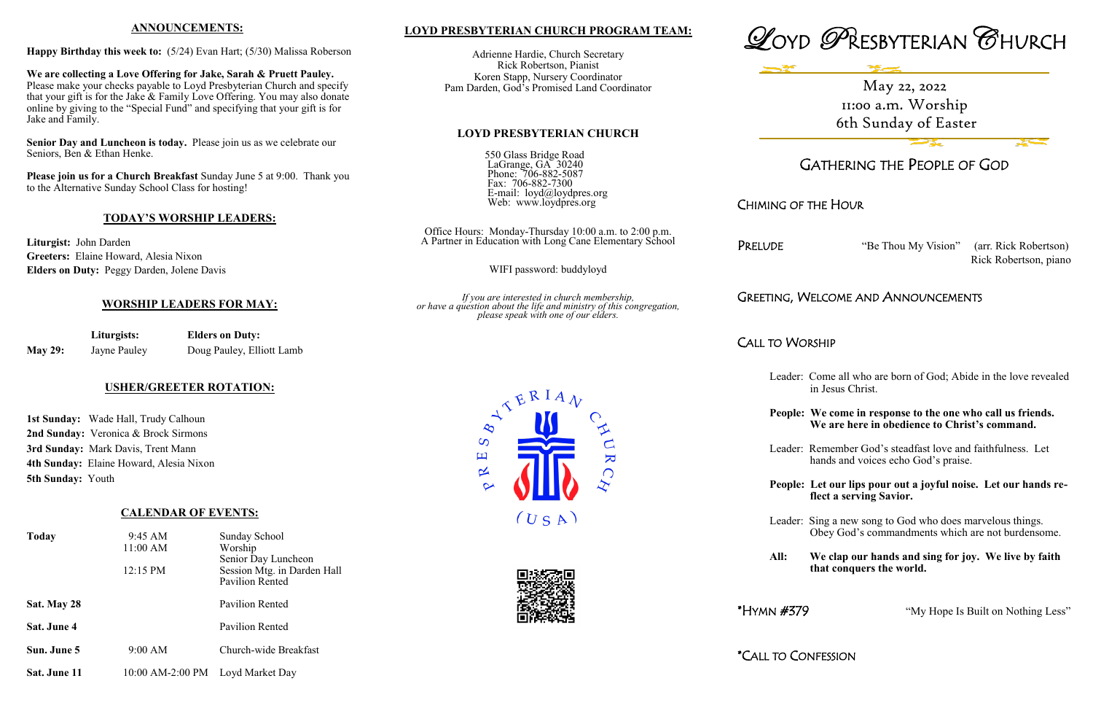## **LOYD PRESBYTERIAN CHURCH PROGRAM TEAM:**

Adrienne Hardie, Church Secretary Rick Robertson, Pianist Koren Stapp, Nursery Coordinator Pam Darden, God's Promised Land Coordinator

#### **LOYD PRESBYTERIAN CHURCH**

550 Glass Bridge Road LaGrange, GA 30240 Phone: 706-882-5087 Fax: 706-882-7300 E-mail: loyd@loydpres.org Web: www.loydpres.org

> Office Hours: Monday-Thursday 10:00 a.m. to 2:00 p.m. A Partner in Education with Long Cane Elementary School

PRELUDE "Be Thou My Vision" (arr. Rick Robertson) Rick Robertson, piano

WIFI password: buddyloyd

*If you are interested in church membership, or have a question about the life and ministry of this congregation, please speak with one of our elders.*





# GATHERING THE PEOPLE OF GOD

## CHIMING OF THE HOUR

## GREETING, WELCOME AND ANNOUNCEMENTS

CALL TO WORSHIP

- Leader: Come all who are born of God; Abide in the love revealed in Jesus Christ.
- **People: We come in response to the one who call us friends. We are here in obedience to Christ's command.**
- Leader: Remember God's steadfast love and faithfulness. Let hands and voices echo God's praise.
- **People: Let our lips pour out a joyful noise. Let our hands re flect a serving Savior.**

Leader: Sing a new song to God who does marvelous things. Obey God's commandments which are not burdensome.

**All: We clap our hands and sing for joy. We live by faith that conquers the world.**

\*HYMN #379 "My Hope Is Built on Nothing Less"

\*CALL TO CONFESSION





#### **ANNOUNCEMENTS:**

**Happy Birthday this week to:** (5/24) Evan Hart; (5/30) Malissa Roberson

**We are collecting a Love Offering for Jake, Sarah & Pruett Pauley.**  Please make your checks payable to Loyd Presbyterian Church and specify that your gift is for the Jake & Family Love Offering. You may also donate online by giving to the "Special Fund" and specifying that your gift is for Jake and Family.

**Senior Day and Luncheon is today.** Please join us as we celebrate our Seniors, Ben & Ethan Henke.

**Please join us for a Church Breakfast** Sunday June 5 at 9:00. Thank you to the Alternative Sunday School Class for hosting!

#### **TODAY'S WORSHIP LEADERS:**

**Liturgist:** John Darden **Greeters:** Elaine Howard, Alesia Nixon **Elders on Duty:** Peggy Darden, Jolene Davis

#### **WORSHIP LEADERS FOR MAY:**

|                | Liturgists:  | <b>Elders on Duty:</b>    |  |
|----------------|--------------|---------------------------|--|
| <b>May 29:</b> | Jayne Pauley | Doug Pauley, Elliott Lamb |  |

## **USHER/GREETER ROTATION:**

**1st Sunday:** Wade Hall, Trudy Calhoun **2nd Sunday:** Veronica & Brock Sirmons **3rd Sunday:** Mark Davis, Trent Mann **4th Sunday:** Elaine Howard, Alesia Nixon **5th Sunday:** Youth

### **CALENDAR OF EVENTS:**

| <b>Today</b> | 9:45 AM<br>11:00 AM              | Sunday School<br>Worship<br>Senior Day Luncheon       |
|--------------|----------------------------------|-------------------------------------------------------|
|              | 12:15 PM                         | Session Mtg. in Darden Hall<br><b>Pavilion Rented</b> |
| Sat. May 28  |                                  | Pavilion Rented                                       |
| Sat. June 4  |                                  | <b>Pavilion Rented</b>                                |
| Sun. June 5  | 9:00 AM                          | Church-wide Breakfast                                 |
| Sat. June 11 | 10:00 AM-2:00 PM Loyd Market Day |                                                       |

May 22, 2022 11:00 a.m. Worship 6th Sunday of Easter